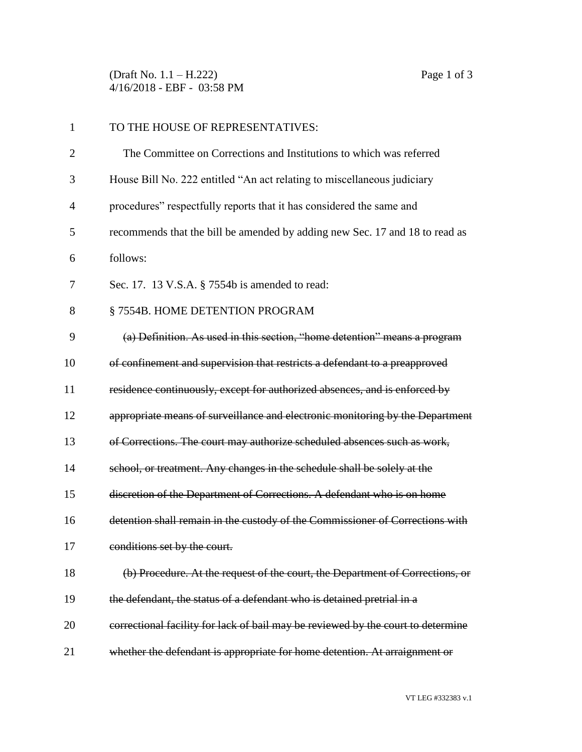(Draft No. 1.1 – H.222) Page 1 of 3 4/16/2018 - EBF - 03:58 PM

| 1              | TO THE HOUSE OF REPRESENTATIVES:                                                 |
|----------------|----------------------------------------------------------------------------------|
| $\overline{2}$ | The Committee on Corrections and Institutions to which was referred              |
| 3              | House Bill No. 222 entitled "An act relating to miscellaneous judiciary          |
| 4              | procedures" respectfully reports that it has considered the same and             |
| 5              | recommends that the bill be amended by adding new Sec. 17 and 18 to read as      |
| 6              | follows:                                                                         |
| 7              | Sec. 17. 13 V.S.A. § 7554b is amended to read:                                   |
| 8              | § 7554B. HOME DETENTION PROGRAM                                                  |
| 9              | (a) Definition. As used in this section, "home detention" means a program        |
| 10             | of confinement and supervision that restricts a defendant to a preapproved       |
| 11             | residence continuously, except for authorized absences, and is enforced by       |
| 12             | appropriate means of surveillance and electronic monitoring by the Department    |
| 13             | of Corrections. The court may authorize scheduled absences such as work,         |
| 14             | school, or treatment. Any changes in the schedule shall be solely at the         |
| 15             | discretion of the Department of Corrections. A defendant who is on home          |
| 16             | detention shall remain in the custody of the Commissioner of Corrections with    |
| 17             | conditions set by the court.                                                     |
| 18             | (b) Procedure. At the request of the court, the Department of Corrections, or    |
| 19             | the defendant, the status of a defendant who is detained pretrial in a           |
| 20             | correctional facility for lack of bail may be reviewed by the court to determine |
| 21             | whether the defendant is appropriate for home detention. At arraignment or       |

VT LEG #332383 v.1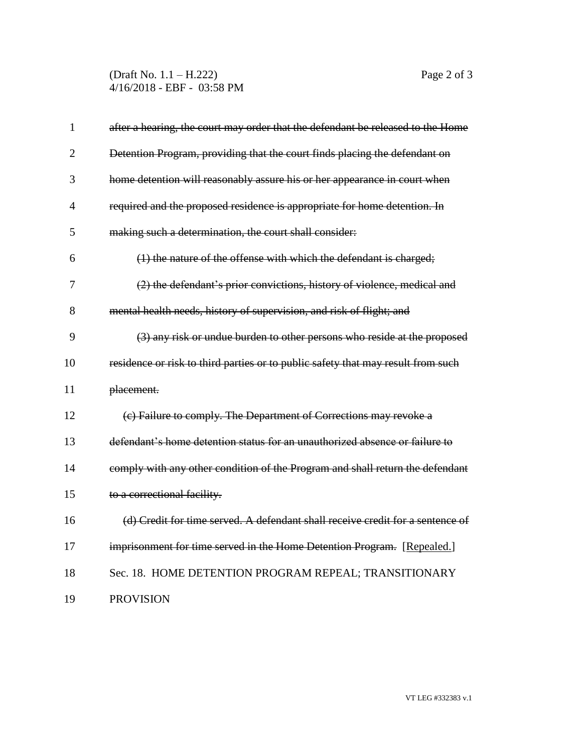(Draft No. 1.1 – H.222) Page 2 of 3 4/16/2018 - EBF - 03:58 PM

| $\mathbf{1}$   | after a hearing, the court may order that the defendant be released to the Home  |
|----------------|----------------------------------------------------------------------------------|
| $\overline{2}$ | Detention Program, providing that the court finds placing the defendant on       |
| 3              | home detention will reasonably assure his or her appearance in court when        |
| $\overline{4}$ | required and the proposed residence is appropriate for home detention. In        |
| 5              | making such a determination, the court shall consider:                           |
| 6              | (1) the nature of the offense with which the defendant is charged;               |
| 7              | (2) the defendant's prior convictions, history of violence, medical and          |
| 8              | mental health needs, history of supervision, and risk of flight; and             |
| 9              | (3) any risk or undue burden to other persons who reside at the proposed         |
| 10             | residence or risk to third parties or to public safety that may result from such |
| 11             | placement.                                                                       |
| 12             | (e) Failure to comply. The Department of Corrections may revoke a                |
| 13             | defendant's home detention status for an unauthorized absence or failure to      |
| 14             | comply with any other condition of the Program and shall return the defendant    |
| 15             | to a correctional facility.                                                      |
| 16             | (d) Credit for time served. A defendant shall receive credit for a sentence of   |
| 17             | imprisonment for time served in the Home Detention Program. [Repealed.]          |
| 18             | Sec. 18. HOME DETENTION PROGRAM REPEAL; TRANSITIONARY                            |
| 19             | <b>PROVISION</b>                                                                 |